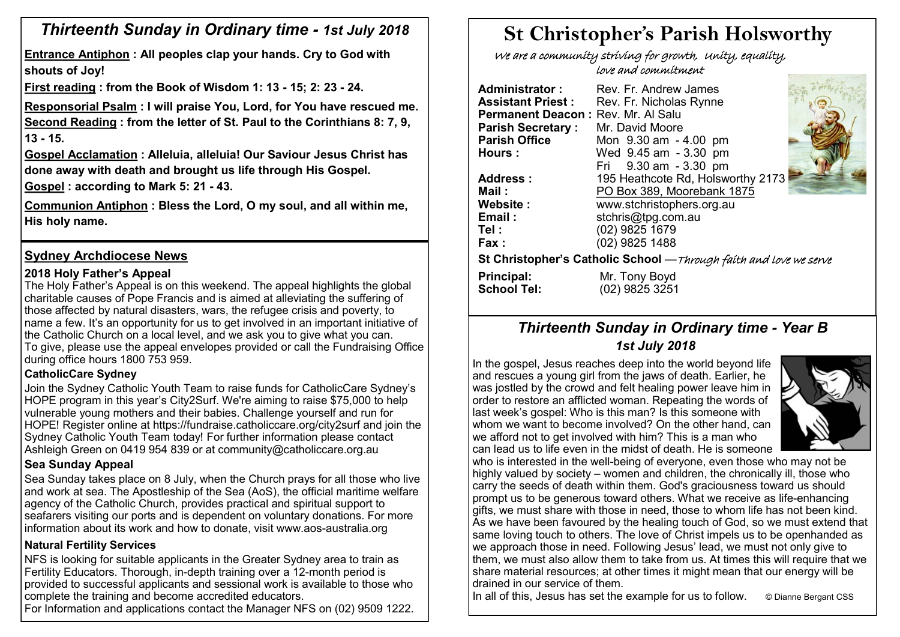# *Thirteenth Sunday in Ordinary time - 1st July 2018*

**Entrance Antiphon : All peoples clap your hands. Cry to God with shouts of Joy!** 

**First reading : from the Book of Wisdom 1: 13 - 15; 2: 23 - 24.** 

**Responsorial Psalm : I will praise You, Lord, for You have rescued me. Second Reading : from the letter of St. Paul to the Corinthians 8: 7, 9, 13 - 15.** 

**Gospel Acclamation : Alleluia, alleluia! Our Saviour Jesus Christ has done away with death and brought us life through His Gospel.**

**Gospel : according to Mark 5: 21 - 43.** 

**Communion Antiphon : Bless the Lord, O my soul, and all within me, His holy name.**

# **Sydney Archdiocese News**

#### **2018 Holy Father's Appeal**

The Holy Father's Appeal is on this weekend. The appeal highlights the global charitable causes of Pope Francis and is aimed at alleviating the suffering of those affected by natural disasters, wars, the refugee crisis and poverty, to name a few. It's an opportunity for us to get involved in an important initiative of the Catholic Church on a local level, and we ask you to give what you can. To give, please use the appeal envelopes provided or call the Fundraising Office during office hours 1800 753 959.

#### **CatholicCare Sydney**

Join the Sydney Catholic Youth Team to raise funds for CatholicCare Sydney's HOPE program in this year's City2Surf. We're aiming to raise \$75,000 to help vulnerable young mothers and their babies. Challenge yourself and run for HOPE! Register online at https://fundraise.catholiccare.org/city2surf and join the Sydney Catholic Youth Team today! For further information please contact Ashleigh Green on 0419 954 839 or at community@catholiccare.org.au

#### **Sea Sunday Appeal**

Sea Sunday takes place on 8 July, when the Church prays for all those who live and work at sea. The Apostleship of the Sea (AoS), the official maritime welfare agency of the Catholic Church, provides practical and spiritual support to seafarers visiting our ports and is dependent on voluntary donations. For more information about its work and how to donate, visit www.aos-australia.org

#### **Natural Fertility Services**

NFS is looking for suitable applicants in the Greater Sydney area to train as Fertility Educators. Thorough, in-depth training over a 12-month period is provided to successful applicants and sessional work is available to those who complete the training and become accredited educators.

For Information and applications contact the Manager NFS on (02) 9509 1222.

# **St Christopher's Parish Holsworthy**

 We are a community striving for growth, Unity, equality, love and commitment

| <b>Administrator:</b>              | Rev. Fr. Andrew James                                              |  |
|------------------------------------|--------------------------------------------------------------------|--|
| <b>Assistant Priest:</b>           | Rev. Fr. Nicholas Rynne                                            |  |
| Permanent Deacon: Rev. Mr. Al Salu |                                                                    |  |
| <b>Parish Secretary:</b>           | Mr. David Moore                                                    |  |
| <b>Parish Office</b>               | Mon 9.30 am - 4.00 pm                                              |  |
| Hours:                             | Wed 9.45 am - 3.30 pm                                              |  |
|                                    | Fri 9.30 am - 3.30 pm                                              |  |
| Address:                           | 195 Heathcote Rd, Holsworthy 2173                                  |  |
| Mail:                              | PO Box 389, Moorebank 1875                                         |  |
| Website:                           | www.stchristophers.org.au                                          |  |
| Email:                             | stchris@tpg.com.au                                                 |  |
| Tel :                              | (02) 9825 1679                                                     |  |
| Fax:                               | (02) 9825 1488                                                     |  |
|                                    | St Christopher's Catholic School - Through faith and love we serve |  |
| <b>Principal:</b>                  | Mr. Tony Boyd                                                      |  |
| <b>School Tel:</b>                 | (02) 9825 3251                                                     |  |

# *Thirteenth Sunday in Ordinary time - Year B 1st July 2018*

In the gospel, Jesus reaches deep into the world beyond life and rescues a young girl from the jaws of death. Earlier, he was jostled by the crowd and felt healing power leave him in order to restore an afflicted woman. Repeating the words of last week's gospel: Who is this man? Is this someone with whom we want to become involved? On the other hand, can we afford not to get involved with him? This is a man who can lead us to life even in the midst of death. He is someone



who is interested in the well-being of everyone, even those who may not be highly valued by society – women and children, the chronically ill, those who carry the seeds of death within them. God's graciousness toward us should prompt us to be generous toward others. What we receive as life-enhancing gifts, we must share with those in need, those to whom life has not been kind. As we have been favoured by the healing touch of God, so we must extend that same loving touch to others. The love of Christ impels us to be openhanded as we approach those in need. Following Jesus' lead, we must not only give to them, we must also allow them to take from us. At times this will require that we share material resources; at other times it might mean that our energy will be drained in our service of them.

In all of this, Jesus has set the example for us to follow.  $\circ$  Dianne Bergant CSS